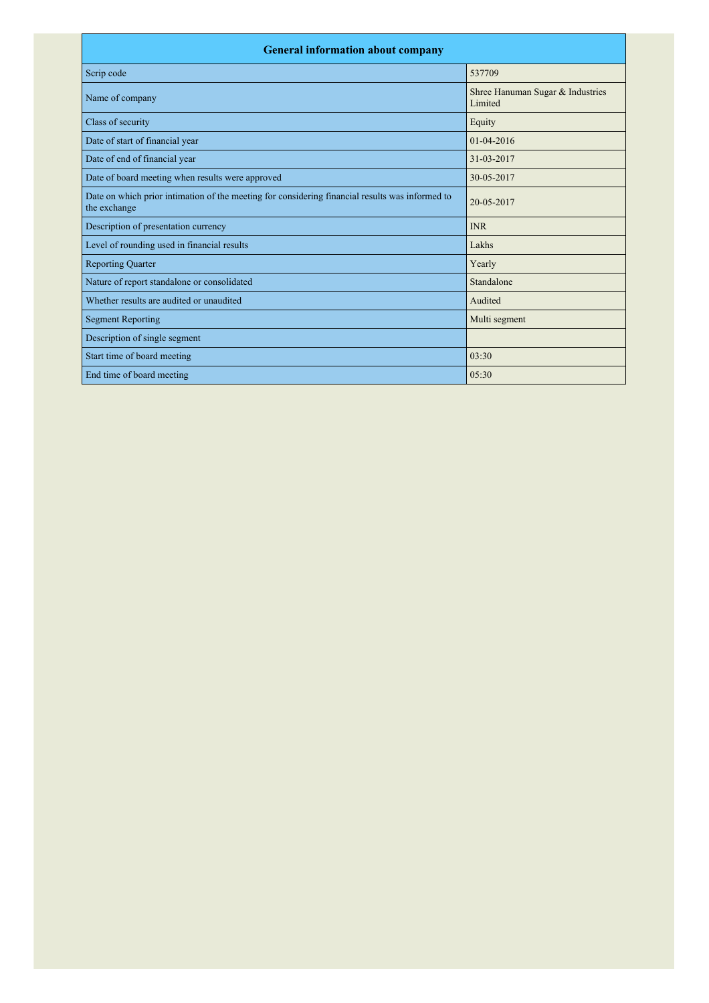| <b>General information about company</b>                                                                        |                                             |  |  |
|-----------------------------------------------------------------------------------------------------------------|---------------------------------------------|--|--|
| Scrip code                                                                                                      | 537709                                      |  |  |
| Name of company                                                                                                 | Shree Hanuman Sugar & Industries<br>Limited |  |  |
| Class of security                                                                                               | Equity                                      |  |  |
| Date of start of financial year                                                                                 | $01-04-2016$                                |  |  |
| Date of end of financial year                                                                                   | 31-03-2017                                  |  |  |
| Date of board meeting when results were approved                                                                | 30-05-2017                                  |  |  |
| Date on which prior intimation of the meeting for considering financial results was informed to<br>the exchange | 20-05-2017                                  |  |  |
| Description of presentation currency                                                                            | <b>INR</b>                                  |  |  |
| Level of rounding used in financial results                                                                     | Lakhs                                       |  |  |
| <b>Reporting Quarter</b>                                                                                        | Yearly                                      |  |  |
| Nature of report standalone or consolidated                                                                     | Standalone                                  |  |  |
| Whether results are audited or unaudited                                                                        | Audited                                     |  |  |
| <b>Segment Reporting</b>                                                                                        | Multi segment                               |  |  |
| Description of single segment                                                                                   |                                             |  |  |
| Start time of board meeting                                                                                     | 03:30                                       |  |  |
| End time of board meeting                                                                                       | 0.5:30                                      |  |  |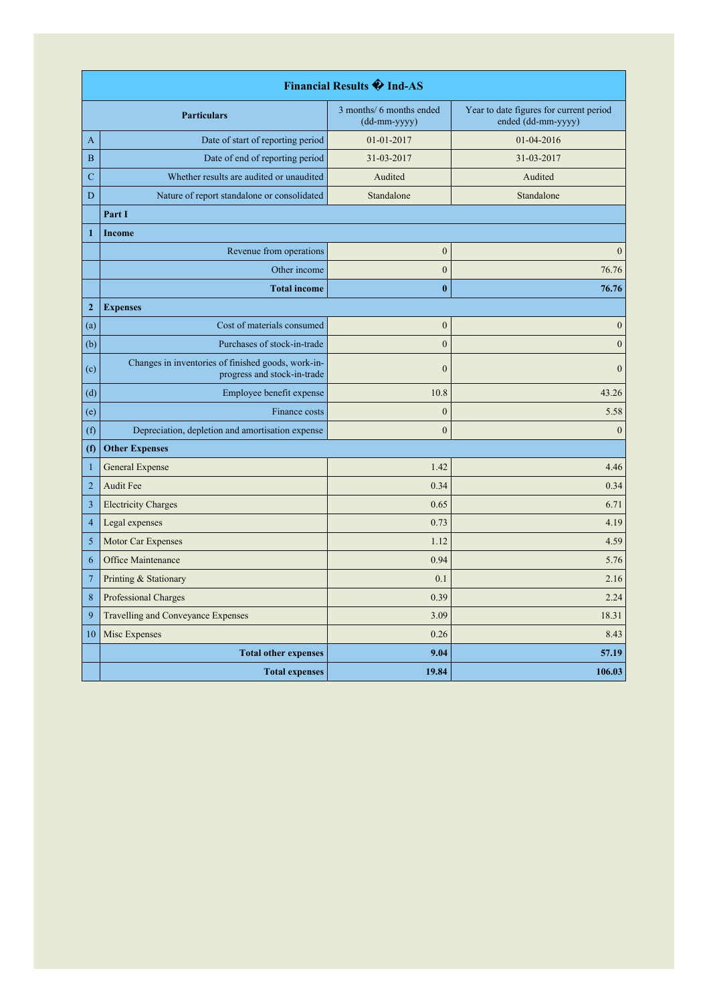| Financial Results �� Ind-AS |                                                                                   |                                          |                                                               |
|-----------------------------|-----------------------------------------------------------------------------------|------------------------------------------|---------------------------------------------------------------|
|                             | <b>Particulars</b>                                                                | 3 months/ 6 months ended<br>(dd-mm-yyyy) | Year to date figures for current period<br>ended (dd-mm-yyyy) |
| A                           | Date of start of reporting period                                                 | 01-01-2017                               | 01-04-2016                                                    |
| $\boldsymbol{B}$            | Date of end of reporting period                                                   | 31-03-2017                               | 31-03-2017                                                    |
| $\mathbf C$                 | Whether results are audited or unaudited                                          | Audited                                  | Audited                                                       |
| D                           | Nature of report standalone or consolidated                                       | Standalone                               | Standalone                                                    |
|                             | Part I                                                                            |                                          |                                                               |
| $\mathbf{1}$                | Income                                                                            |                                          |                                                               |
|                             | Revenue from operations                                                           | $\boldsymbol{0}$                         | $\mathbf{0}$                                                  |
|                             | Other income                                                                      | $\mathbf{0}$                             | 76.76                                                         |
|                             | <b>Total income</b>                                                               | $\bf{0}$                                 | 76.76                                                         |
| $\boldsymbol{2}$            | <b>Expenses</b>                                                                   |                                          |                                                               |
| (a)                         | Cost of materials consumed                                                        | $\boldsymbol{0}$                         | $\boldsymbol{0}$                                              |
| (b)                         | Purchases of stock-in-trade                                                       | $\boldsymbol{0}$                         | $\boldsymbol{0}$                                              |
| (c)                         | Changes in inventories of finished goods, work-in-<br>progress and stock-in-trade | $\theta$                                 | $\theta$                                                      |
| (d)                         | Employee benefit expense                                                          | 10.8                                     | 43.26                                                         |
| (e)                         | Finance costs                                                                     | $\boldsymbol{0}$                         | 5.58                                                          |
| (f)                         | Depreciation, depletion and amortisation expense                                  | $\mathbf{0}$                             | $\boldsymbol{0}$                                              |
| (f)                         | <b>Other Expenses</b>                                                             |                                          |                                                               |
| $\mathbf{1}$                | General Expense                                                                   | 1.42                                     | 4.46                                                          |
| $\overline{2}$              | Audit Fee                                                                         | 0.34                                     | 0.34                                                          |
| $\overline{\mathbf{3}}$     | <b>Electricity Charges</b>                                                        | 0.65                                     | 6.71                                                          |
| $\overline{4}$              | Legal expenses                                                                    | 0.73                                     | 4.19                                                          |
| 5                           | Motor Car Expenses                                                                | 1.12                                     | 4.59                                                          |
| 6                           | Office Maintenance                                                                | 0.94                                     | 5.76                                                          |
| $\overline{7}$              | Printing & Stationary                                                             | 0.1                                      | 2.16                                                          |
| 8                           | Professional Charges                                                              | 0.39                                     | 2.24                                                          |
| 9                           | Travelling and Conveyance Expenses                                                | 3.09                                     | 18.31                                                         |
| 10                          | Misc Expenses                                                                     | 0.26                                     | 8.43                                                          |
|                             | <b>Total other expenses</b>                                                       | 9.04                                     | 57.19                                                         |
|                             | <b>Total expenses</b>                                                             | 19.84                                    | 106.03                                                        |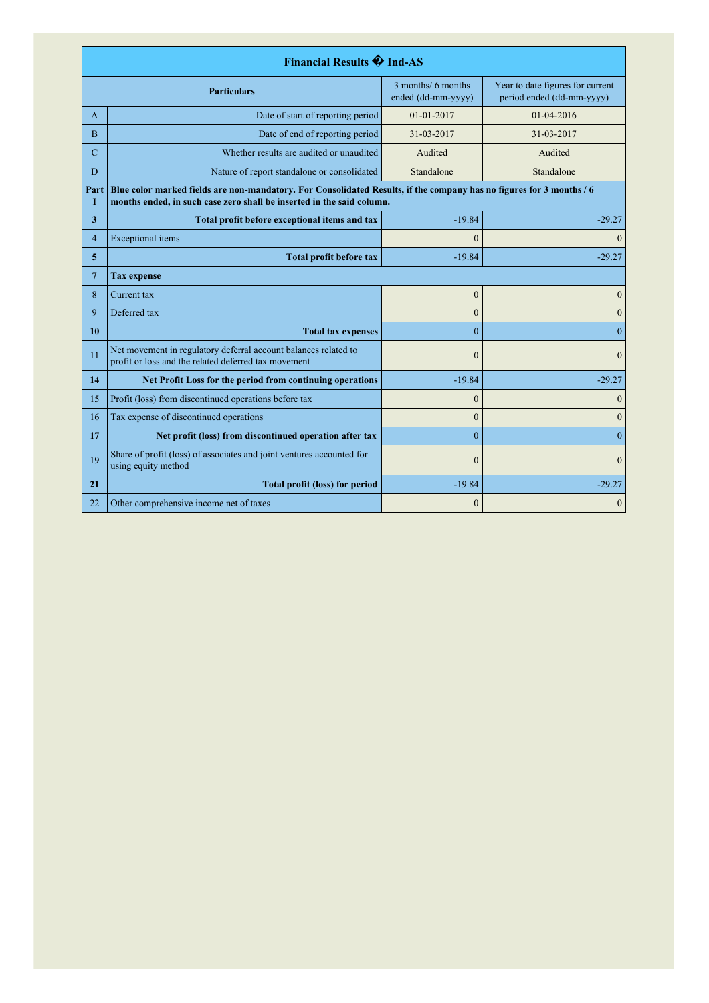| <b>Financial Results + Ind-AS</b>                               |                                                                                                                                                                                               |                                          |                                                               |
|-----------------------------------------------------------------|-----------------------------------------------------------------------------------------------------------------------------------------------------------------------------------------------|------------------------------------------|---------------------------------------------------------------|
|                                                                 | <b>Particulars</b>                                                                                                                                                                            | 3 months/ 6 months<br>ended (dd-mm-yyyy) | Year to date figures for current<br>period ended (dd-mm-yyyy) |
| A                                                               | Date of start of reporting period                                                                                                                                                             | 01-01-2017                               | $01-04-2016$                                                  |
| $\overline{B}$                                                  | Date of end of reporting period                                                                                                                                                               | 31-03-2017                               | 31-03-2017                                                    |
| C                                                               | Whether results are audited or unaudited                                                                                                                                                      | Audited                                  | Audited                                                       |
| D                                                               | Nature of report standalone or consolidated                                                                                                                                                   | Standalone                               | Standalone                                                    |
| Part<br>п                                                       | Blue color marked fields are non-mandatory. For Consolidated Results, if the company has no figures for 3 months / 6<br>months ended, in such case zero shall be inserted in the said column. |                                          |                                                               |
| 3                                                               | Total profit before exceptional items and tax                                                                                                                                                 | $-19.84$                                 | $-29.27$                                                      |
| $\overline{4}$                                                  | <b>Exceptional</b> items                                                                                                                                                                      | $\theta$                                 | $\theta$                                                      |
| 5<br><b>Total profit before tax</b>                             |                                                                                                                                                                                               | $-19.84$                                 | $-29.27$                                                      |
| $7\phantom{.0}$                                                 | <b>Tax expense</b>                                                                                                                                                                            |                                          |                                                               |
| 8                                                               | Current tax                                                                                                                                                                                   | $\mathbf{0}$                             | $\mathbf{0}$                                                  |
| 9<br>Deferred tax                                               |                                                                                                                                                                                               | $\theta$                                 | $\theta$                                                      |
| 10<br><b>Total tax expenses</b>                                 |                                                                                                                                                                                               | $\theta$                                 | $\theta$                                                      |
| 11                                                              | Net movement in regulatory deferral account balances related to<br>profit or loss and the related deferred tax movement                                                                       | $\mathbf{0}$                             | $\mathbf{0}$                                                  |
| 14<br>Net Profit Loss for the period from continuing operations |                                                                                                                                                                                               | $-19.84$                                 | $-29.27$                                                      |
| 15                                                              | Profit (loss) from discontinued operations before tax                                                                                                                                         | $\overline{0}$                           | $\mathbf{0}$                                                  |
| 16                                                              | Tax expense of discontinued operations                                                                                                                                                        | $\mathbf{0}$                             | $\overline{0}$                                                |
| 17                                                              | Net profit (loss) from discontinued operation after tax                                                                                                                                       | $\theta$                                 | $\theta$                                                      |
| 19                                                              | Share of profit (loss) of associates and joint ventures accounted for<br>using equity method                                                                                                  | $\overline{0}$                           | $\mathbf{0}$                                                  |
| 21                                                              | <b>Total profit (loss) for period</b>                                                                                                                                                         | $-19.84$                                 | $-29.27$                                                      |
| 22                                                              | Other comprehensive income net of taxes                                                                                                                                                       | $\mathbf{0}$                             | $\mathbf{0}$                                                  |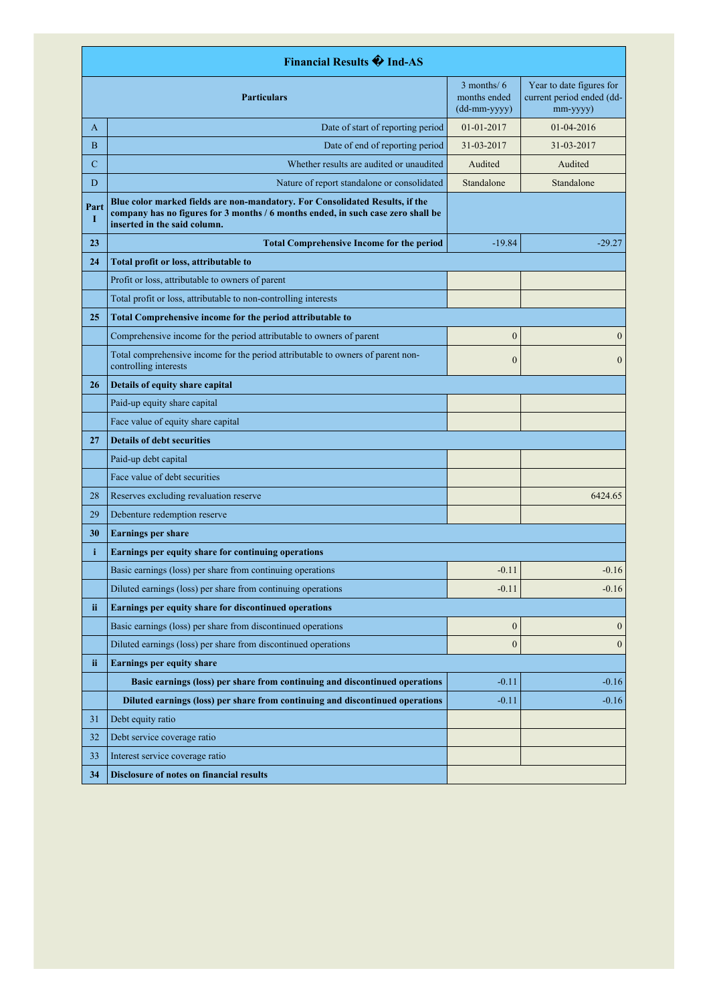| <b>Financial Results + Ind-AS</b>                                                                                                                                                                             |                                                                                                          |                                                                                       |                                                                   |
|---------------------------------------------------------------------------------------------------------------------------------------------------------------------------------------------------------------|----------------------------------------------------------------------------------------------------------|---------------------------------------------------------------------------------------|-------------------------------------------------------------------|
|                                                                                                                                                                                                               | <b>Particulars</b>                                                                                       | $3$ months/ $6$<br>months ended<br>$(dd{\text{-}\!\!\,\text{mm-}}\text{\small{yyyy}}$ | Year to date figures for<br>current period ended (dd-<br>mm-yyyy) |
| A                                                                                                                                                                                                             | Date of start of reporting period                                                                        | 01-01-2017                                                                            | $01-04-2016$                                                      |
| B                                                                                                                                                                                                             | Date of end of reporting period                                                                          | 31-03-2017                                                                            | 31-03-2017                                                        |
| $\overline{C}$                                                                                                                                                                                                | Whether results are audited or unaudited                                                                 | Audited                                                                               | Audited                                                           |
| D                                                                                                                                                                                                             | Nature of report standalone or consolidated                                                              | Standalone                                                                            | Standalone                                                        |
| Blue color marked fields are non-mandatory. For Consolidated Results, if the<br>Part<br>company has no figures for 3 months / 6 months ended, in such case zero shall be<br>I<br>inserted in the said column. |                                                                                                          |                                                                                       |                                                                   |
| 23                                                                                                                                                                                                            | <b>Total Comprehensive Income for the period</b>                                                         | $-19.84$                                                                              | $-29.27$                                                          |
| 24                                                                                                                                                                                                            | Total profit or loss, attributable to                                                                    |                                                                                       |                                                                   |
|                                                                                                                                                                                                               | Profit or loss, attributable to owners of parent                                                         |                                                                                       |                                                                   |
|                                                                                                                                                                                                               | Total profit or loss, attributable to non-controlling interests                                          |                                                                                       |                                                                   |
| 25                                                                                                                                                                                                            | Total Comprehensive income for the period attributable to                                                |                                                                                       |                                                                   |
|                                                                                                                                                                                                               | Comprehensive income for the period attributable to owners of parent                                     | $\boldsymbol{0}$                                                                      | $\mathbf{0}$                                                      |
|                                                                                                                                                                                                               | Total comprehensive income for the period attributable to owners of parent non-<br>controlling interests | $\boldsymbol{0}$                                                                      | $\mathbf{0}$                                                      |
| 26                                                                                                                                                                                                            | Details of equity share capital                                                                          |                                                                                       |                                                                   |
|                                                                                                                                                                                                               | Paid-up equity share capital                                                                             |                                                                                       |                                                                   |
|                                                                                                                                                                                                               | Face value of equity share capital                                                                       |                                                                                       |                                                                   |
| 27                                                                                                                                                                                                            | <b>Details of debt securities</b>                                                                        |                                                                                       |                                                                   |
|                                                                                                                                                                                                               | Paid-up debt capital                                                                                     |                                                                                       |                                                                   |
|                                                                                                                                                                                                               | Face value of debt securities                                                                            |                                                                                       |                                                                   |
| 28                                                                                                                                                                                                            | Reserves excluding revaluation reserve                                                                   |                                                                                       | 6424.65                                                           |
| 29                                                                                                                                                                                                            | Debenture redemption reserve                                                                             |                                                                                       |                                                                   |
| 30                                                                                                                                                                                                            | <b>Earnings per share</b>                                                                                |                                                                                       |                                                                   |
| i                                                                                                                                                                                                             | Earnings per equity share for continuing operations                                                      |                                                                                       |                                                                   |
|                                                                                                                                                                                                               | Basic earnings (loss) per share from continuing operations                                               | $-0.11$                                                                               | $-0.16$                                                           |
|                                                                                                                                                                                                               | Diluted earnings (loss) per share from continuing operations                                             | $-0.11$                                                                               | $-0.16$                                                           |
| ii                                                                                                                                                                                                            | Earnings per equity share for discontinued operations                                                    |                                                                                       |                                                                   |
|                                                                                                                                                                                                               | Basic earnings (loss) per share from discontinued operations                                             | $\boldsymbol{0}$                                                                      | $\boldsymbol{0}$                                                  |
|                                                                                                                                                                                                               | Diluted earnings (loss) per share from discontinued operations                                           | $\boldsymbol{0}$                                                                      | $\mathbf{0}$                                                      |
| ii.                                                                                                                                                                                                           | <b>Earnings per equity share</b>                                                                         |                                                                                       |                                                                   |
|                                                                                                                                                                                                               | Basic earnings (loss) per share from continuing and discontinued operations                              | $-0.11$                                                                               | $-0.16$                                                           |
|                                                                                                                                                                                                               | Diluted earnings (loss) per share from continuing and discontinued operations                            | $-0.11$                                                                               | $-0.16$                                                           |
| 31                                                                                                                                                                                                            | Debt equity ratio                                                                                        |                                                                                       |                                                                   |
| 32                                                                                                                                                                                                            | Debt service coverage ratio                                                                              |                                                                                       |                                                                   |
| 33                                                                                                                                                                                                            | Interest service coverage ratio                                                                          |                                                                                       |                                                                   |
| 34                                                                                                                                                                                                            | Disclosure of notes on financial results                                                                 |                                                                                       |                                                                   |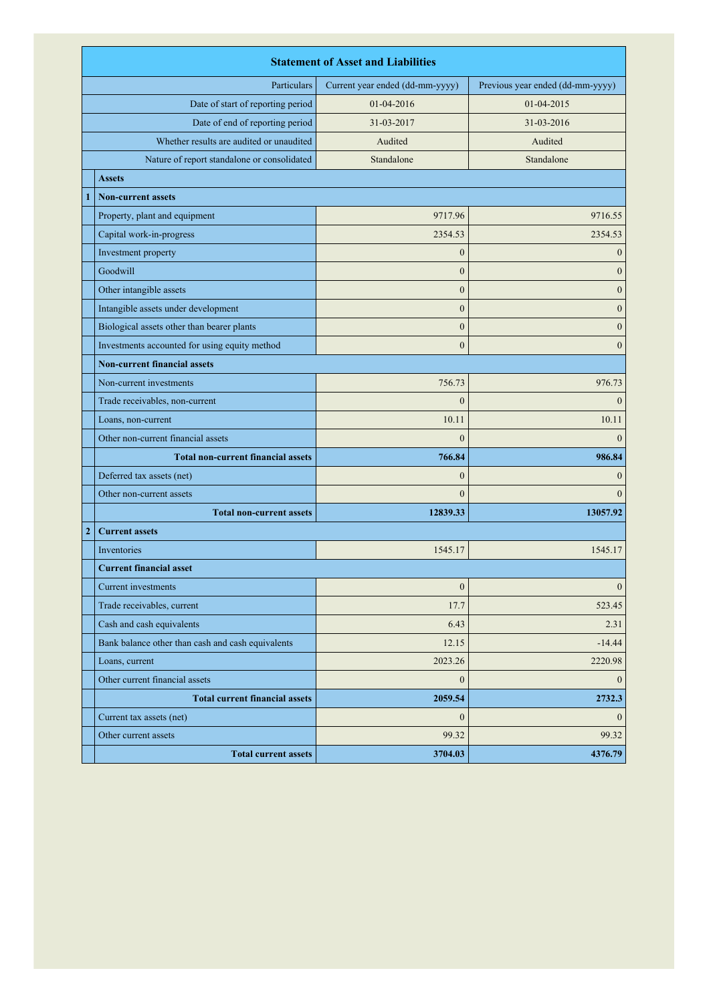|              | <b>Statement of Asset and Liabilities</b>         |                                 |                                  |  |
|--------------|---------------------------------------------------|---------------------------------|----------------------------------|--|
| Particulars  |                                                   | Current year ended (dd-mm-yyyy) | Previous year ended (dd-mm-yyyy) |  |
|              | Date of start of reporting period                 | 01-04-2016                      | 01-04-2015                       |  |
|              | Date of end of reporting period                   | 31-03-2017                      | 31-03-2016                       |  |
|              | Whether results are audited or unaudited          | Audited                         | Audited                          |  |
|              | Nature of report standalone or consolidated       | Standalone                      | Standalone                       |  |
|              | <b>Assets</b>                                     |                                 |                                  |  |
|              | <b>Non-current assets</b>                         |                                 |                                  |  |
|              | Property, plant and equipment                     | 9717.96                         | 9716.55                          |  |
|              | Capital work-in-progress                          | 2354.53                         | 2354.53                          |  |
|              | Investment property                               | $\mathbf{0}$                    | $\mathbf{0}$                     |  |
|              | Goodwill                                          | $\mathbf{0}$                    | $\boldsymbol{0}$                 |  |
|              | Other intangible assets                           | $\overline{0}$                  | $\mathbf{0}$                     |  |
|              | Intangible assets under development               | $\overline{0}$                  | $\mathbf{0}$                     |  |
|              | Biological assets other than bearer plants        | $\mathbf{0}$                    | $\boldsymbol{0}$                 |  |
|              | Investments accounted for using equity method     | $\overline{0}$                  | $\mathbf{0}$                     |  |
|              | <b>Non-current financial assets</b>               |                                 |                                  |  |
|              | Non-current investments                           | 756.73                          | 976.73                           |  |
|              | Trade receivables, non-current                    | $\overline{0}$                  | $\theta$                         |  |
|              | Loans, non-current                                | 10.11                           | 10.11                            |  |
|              | Other non-current financial assets                | $\theta$                        | $\theta$                         |  |
|              | <b>Total non-current financial assets</b>         | 766.84                          | 986.84                           |  |
|              | Deferred tax assets (net)                         | $\boldsymbol{0}$                | $\mathbf{0}$                     |  |
|              | Other non-current assets                          | $\theta$                        | $\theta$                         |  |
|              | <b>Total non-current assets</b>                   | 12839.33                        | 13057.92                         |  |
| $\mathbf{2}$ | <b>Current assets</b>                             |                                 |                                  |  |
|              | Inventories                                       | 1545.17                         | 1545.17                          |  |
|              | <b>Current financial asset</b>                    |                                 |                                  |  |
|              | Current investments                               | $\boldsymbol{0}$                | $\mathbf{0}$                     |  |
|              | Trade receivables, current                        | 17.7                            | 523.45                           |  |
|              | Cash and cash equivalents                         | 6.43                            | 2.31                             |  |
|              | Bank balance other than cash and cash equivalents | 12.15                           | $-14.44$                         |  |
|              | Loans, current                                    | 2023.26                         | 2220.98                          |  |
|              | Other current financial assets                    | $\boldsymbol{0}$                | $\mathbf{0}$                     |  |
|              | <b>Total current financial assets</b>             | 2059.54                         | 2732.3                           |  |
|              | Current tax assets (net)                          | $\mathbf{0}$                    | $\theta$                         |  |
|              | Other current assets                              | 99.32                           | 99.32                            |  |
|              | <b>Total current assets</b>                       | 3704.03                         | 4376.79                          |  |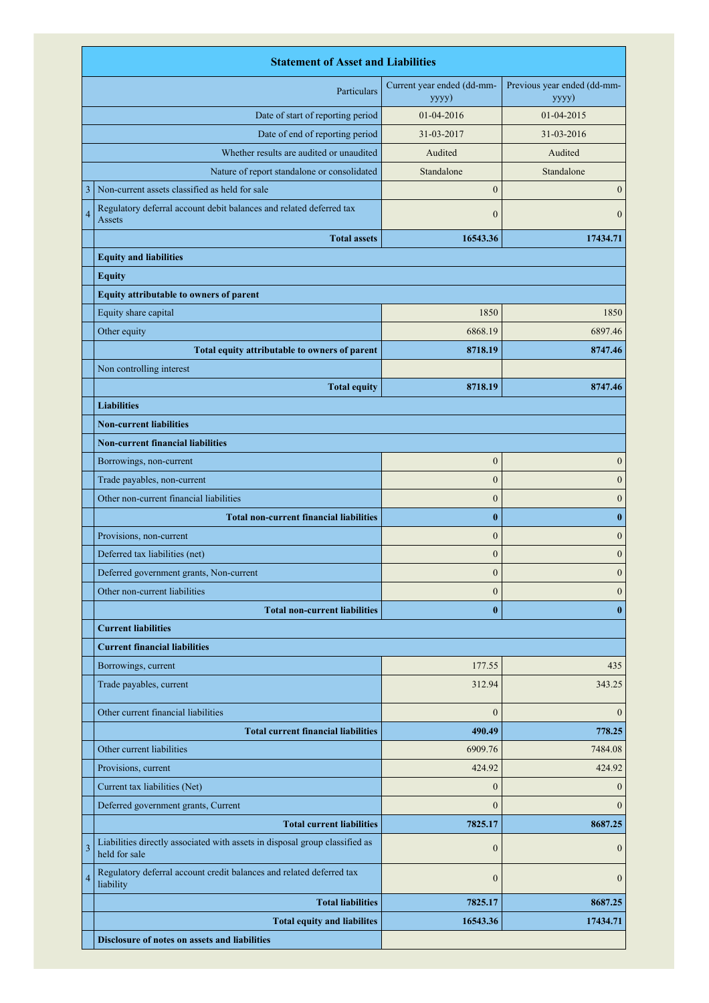|                                      | <b>Statement of Asset and Liabilities</b>                                                    |                                     |                                      |
|--------------------------------------|----------------------------------------------------------------------------------------------|-------------------------------------|--------------------------------------|
| Particulars                          |                                                                                              | Current year ended (dd-mm-<br>yyyy) | Previous year ended (dd-mm-<br>yyyy) |
| Date of start of reporting period    |                                                                                              | 01-04-2016                          | 01-04-2015                           |
|                                      | Date of end of reporting period                                                              | 31-03-2017                          | 31-03-2016                           |
|                                      | Whether results are audited or unaudited                                                     | Audited                             | Audited                              |
|                                      | Nature of report standalone or consolidated                                                  | Standalone                          | Standalone                           |
| 3                                    | Non-current assets classified as held for sale                                               | $\mathbf{0}$                        | $\boldsymbol{0}$                     |
| $\overline{4}$                       | Regulatory deferral account debit balances and related deferred tax<br>Assets                | $\mathbf{0}$                        | $\mathbf{0}$                         |
|                                      | <b>Total assets</b>                                                                          | 16543.36                            | 17434.71                             |
|                                      | <b>Equity and liabilities</b>                                                                |                                     |                                      |
|                                      | <b>Equity</b>                                                                                |                                     |                                      |
|                                      | Equity attributable to owners of parent                                                      |                                     |                                      |
|                                      | Equity share capital                                                                         | 1850                                | 1850                                 |
|                                      | Other equity                                                                                 | 6868.19                             | 6897.46                              |
|                                      | Total equity attributable to owners of parent                                                | 8718.19                             | 8747.46                              |
|                                      | Non controlling interest                                                                     |                                     |                                      |
|                                      | <b>Total equity</b>                                                                          | 8718.19                             | 8747.46                              |
|                                      | <b>Liabilities</b>                                                                           |                                     |                                      |
|                                      | <b>Non-current liabilities</b>                                                               |                                     |                                      |
|                                      | <b>Non-current financial liabilities</b>                                                     |                                     |                                      |
|                                      | Borrowings, non-current                                                                      | $\boldsymbol{0}$                    | $\boldsymbol{0}$                     |
|                                      | Trade payables, non-current                                                                  | $\mathbf{0}$                        | $\boldsymbol{0}$                     |
|                                      | Other non-current financial liabilities                                                      | $\boldsymbol{0}$                    | $\boldsymbol{0}$                     |
|                                      | <b>Total non-current financial liabilities</b>                                               | $\bf{0}$                            | $\bf{0}$                             |
|                                      | Provisions, non-current                                                                      | $\mathbf{0}$                        | $\boldsymbol{0}$                     |
|                                      | Deferred tax liabilities (net)                                                               | $\mathbf{0}$                        |                                      |
|                                      |                                                                                              | $\boldsymbol{0}$                    | $\boldsymbol{0}$<br>$\boldsymbol{0}$ |
|                                      | Deferred government grants, Non-current                                                      |                                     |                                      |
|                                      | Other non-current liabilities                                                                | $\boldsymbol{0}$                    | $\boldsymbol{0}$                     |
| <b>Total non-current liabilities</b> |                                                                                              | $\bf{0}$                            | $\bf{0}$                             |
|                                      | <b>Current liabilities</b>                                                                   |                                     |                                      |
|                                      | <b>Current financial liabilities</b>                                                         |                                     |                                      |
|                                      | Borrowings, current                                                                          | 177.55                              | 435                                  |
|                                      | Trade payables, current                                                                      | 312.94                              | 343.25                               |
|                                      | Other current financial liabilities                                                          | $\mathbf{0}$                        | $\mathbf{0}$                         |
|                                      | <b>Total current financial liabilities</b>                                                   | 490.49                              | 778.25                               |
|                                      | Other current liabilities                                                                    | 6909.76                             | 7484.08                              |
|                                      | Provisions, current                                                                          | 424.92                              | 424.92                               |
|                                      | Current tax liabilities (Net)                                                                | $\mathbf{0}$                        | $\mathbf{0}$                         |
|                                      | Deferred government grants, Current                                                          | $\mathbf{0}$                        | $\mathbf{0}$                         |
|                                      | <b>Total current liabilities</b>                                                             | 7825.17                             | 8687.25                              |
| 3                                    | Liabilities directly associated with assets in disposal group classified as<br>held for sale | $\mathbf{0}$                        | $\mathbf{0}$                         |
| $\overline{4}$                       | Regulatory deferral account credit balances and related deferred tax<br>liability            | $\mathbf{0}$                        | $\mathbf{0}$                         |
|                                      | <b>Total liabilities</b>                                                                     | 7825.17                             | 8687.25                              |
|                                      | <b>Total equity and liabilites</b>                                                           | 16543.36                            | 17434.71                             |
|                                      | Disclosure of notes on assets and liabilities                                                |                                     |                                      |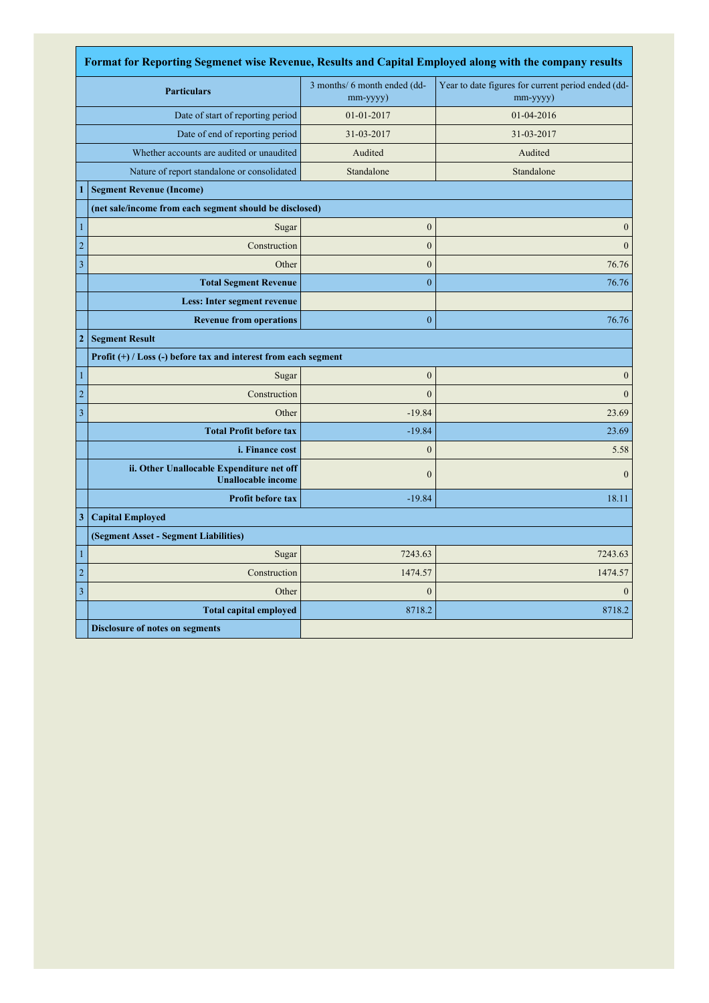| Format for Reporting Segmenet wise Revenue, Results and Capital Employed along with the company results |                                                                        |                                                |                                                                |  |
|---------------------------------------------------------------------------------------------------------|------------------------------------------------------------------------|------------------------------------------------|----------------------------------------------------------------|--|
|                                                                                                         | <b>Particulars</b>                                                     | 3 months/ 6 month ended (dd-<br>$mm$ -yyyy $)$ | Year to date figures for current period ended (dd-<br>mm-yyyy) |  |
| Date of start of reporting period                                                                       |                                                                        | 01-01-2017                                     | 01-04-2016                                                     |  |
| Date of end of reporting period                                                                         |                                                                        | 31-03-2017                                     | 31-03-2017                                                     |  |
|                                                                                                         | Whether accounts are audited or unaudited                              | Audited                                        | Audited                                                        |  |
|                                                                                                         | Nature of report standalone or consolidated                            | Standalone                                     | Standalone                                                     |  |
| $\mathbf{1}$                                                                                            | <b>Segment Revenue (Income)</b>                                        |                                                |                                                                |  |
|                                                                                                         | (net sale/income from each segment should be disclosed)                |                                                |                                                                |  |
| $\mathbf{1}$                                                                                            | Sugar                                                                  | $\boldsymbol{0}$                               | $\mathbf{0}$                                                   |  |
| $\overline{c}$                                                                                          | Construction                                                           | $\overline{0}$                                 | $\mathbf{0}$                                                   |  |
| $\mathfrak z$                                                                                           | Other                                                                  | $\boldsymbol{0}$                               | 76.76                                                          |  |
|                                                                                                         | <b>Total Segment Revenue</b>                                           | $\overline{0}$                                 | 76.76                                                          |  |
|                                                                                                         | Less: Inter segment revenue                                            |                                                |                                                                |  |
|                                                                                                         | <b>Revenue from operations</b>                                         | $\bf{0}$                                       | 76.76                                                          |  |
| $\mathbf{2}$                                                                                            | <b>Segment Result</b>                                                  |                                                |                                                                |  |
|                                                                                                         | Profit (+) / Loss (-) before tax and interest from each segment        |                                                |                                                                |  |
| $\mathbf{1}$                                                                                            | Sugar                                                                  | $\boldsymbol{0}$                               | $\theta$                                                       |  |
| $\sqrt{2}$                                                                                              | Construction                                                           | $\overline{0}$                                 | $\mathbf{0}$                                                   |  |
| $\mathfrak z$                                                                                           | Other                                                                  | $-19.84$                                       | 23.69                                                          |  |
|                                                                                                         | <b>Total Profit before tax</b>                                         | $-19.84$                                       | 23.69                                                          |  |
|                                                                                                         | <i>i. Finance cost</i>                                                 | $\mathbf{0}$                                   | 5.58                                                           |  |
|                                                                                                         | ii. Other Unallocable Expenditure net off<br><b>Unallocable income</b> | $\mathbf{0}$                                   | $\theta$                                                       |  |
|                                                                                                         | <b>Profit before tax</b>                                               | $-19.84$                                       | 18.11                                                          |  |
| 3                                                                                                       | <b>Capital Employed</b>                                                |                                                |                                                                |  |
|                                                                                                         | (Segment Asset - Segment Liabilities)                                  |                                                |                                                                |  |
| $\mathbf{1}$                                                                                            | Sugar                                                                  | 7243.63                                        | 7243.63                                                        |  |
| $\overline{c}$                                                                                          | Construction                                                           | 1474.57                                        | 1474.57                                                        |  |
| $\mathfrak z$                                                                                           | Other                                                                  | $\overline{0}$                                 | $\theta$                                                       |  |
|                                                                                                         | <b>Total capital employed</b>                                          | 8718.2                                         | 8718.2                                                         |  |
|                                                                                                         | <b>Disclosure of notes on segments</b>                                 |                                                |                                                                |  |